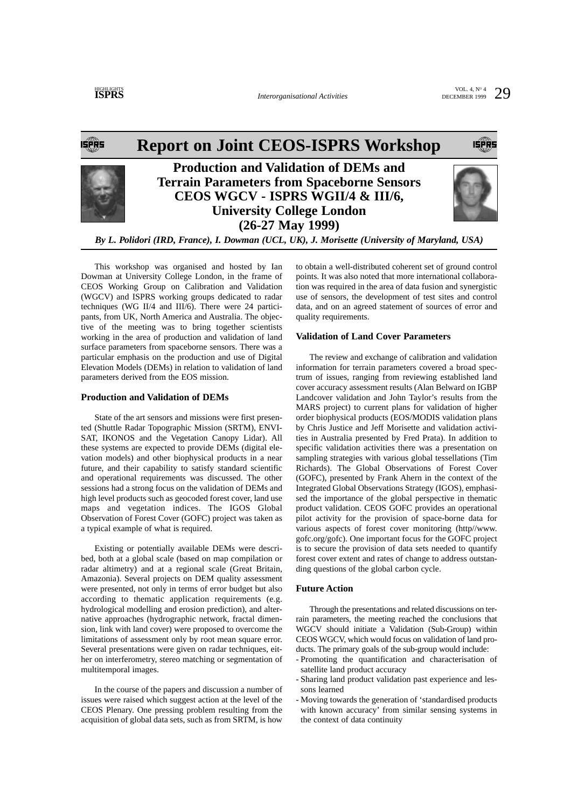# **Report on Joint CEOS-ISPRS Workshop**ŚĨŔS ISPRS **Production and Validation of DEMs and Terrain Parameters from Spaceborne Sensors CEOS WGCV - ISPRS WGII/4 & III/6, University College London**

**(26-27 May 1999)**

*By L. Polidori (IRD, France), I. Dowman (UCL, UK), J. Morisette (University of Maryland, USA)*

This workshop was organised and hosted by Ian Dowman at University College London, in the frame of CEOS Working Group on Calibration and Validation (WGCV) and ISPRS working groups dedicated to radar techniques (WG II/4 and III/6). There were 24 participants, from UK, North America and Australia. The objective of the meeting was to bring together scientists working in the area of production and validation of land surface parameters from spaceborne sensors. There was a particular emphasis on the production and use of Digital Elevation Models (DEMs) in relation to validation of land parameters derived from the EOS mission.

# **Production and Validation of DEMs**

State of the art sensors and missions were first presented (Shuttle Radar Topographic Mission (SRTM), ENVI-SAT, IKONOS and the Vegetation Canopy Lidar). All these systems are expected to provide DEMs (digital elevation models) and other biophysical products in a near future, and their capability to satisfy standard scientific and operational requirements was discussed. The other sessions had a strong focus on the validation of DEMs and high level products such as geocoded forest cover, land use maps and vegetation indices. The IGOS Global Observation of Forest Cover (GOFC) project was taken as a typical example of what is required.

Existing or potentially available DEMs were described, both at a global scale (based on map compilation or radar altimetry) and at a regional scale (Great Britain, Amazonia). Several projects on DEM quality assessment were presented, not only in terms of error budget but also according to thematic application requirements (e.g. hydrological modelling and erosion prediction), and alternative approaches (hydrographic network, fractal dimension, link with land cover) were proposed to overcome the limitations of assessment only by root mean square error. Several presentations were given on radar techniques, either on interferometry, stereo matching or segmentation of multitemporal images.

In the course of the papers and discussion a number of issues were raised which suggest action at the level of the CEOS Plenary. One pressing problem resulting from the acquisition of global data sets, such as from SRTM, is how

to obtain a well-distributed coherent set of ground control points. It was also noted that more international collaboration was required in the area of data fusion and synergistic use of sensors, the development of test sites and control data, and on an agreed statement of sources of error and quality requirements.

# **Validation of Land Cover Parameters**

The review and exchange of calibration and validation information for terrain parameters covered a broad spectrum of issues, ranging from reviewing established land cover accuracy assessment results (Alan Belward on IGBP Landcover validation and John Taylor's results from the MARS project) to current plans for validation of higher order biophysical products (EOS/MODIS validation plans by Chris Justice and Jeff Morisette and validation activities in Australia presented by Fred Prata). In addition to specific validation activities there was a presentation on sampling strategies with various global tessellations (Tim Richards). The Global Observations of Forest Cover (GOFC), presented by Frank Ahern in the context of the Integrated Global Observations Strategy (IGOS), emphasised the importance of the global perspective in thematic product validation. CEOS GOFC provides an operational pilot activity for the provision of space-borne data for various aspects of forest cover monitoring (http//www. gofc.org/gofc). One important focus for the GOFC project is to secure the provision of data sets needed to quantify forest cover extent and rates of change to address outstanding questions of the global carbon cycle.

### **Future Action**

Through the presentations and related discussions on terrain parameters, the meeting reached the conclusions that WGCV should initiate a Validation (Sub-Group) within CEOS WGCV, which would focus on validation of land products. The primary goals of the sub-group would include:

- Promoting the quantification and characterisation of satellite land product accuracy
- Sharing land product validation past experience and lessons learned
- Moving towards the generation of 'standardised products with known accuracy' from similar sensing systems in the context of data continuity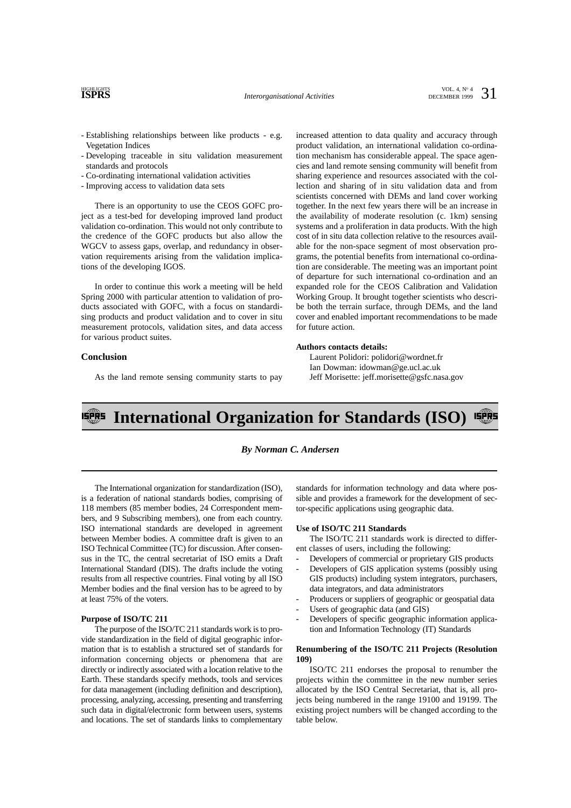- Establishing relationships between like products e.g. Vegetation Indices
- Developing traceable in situ validation measurement standards and protocols
- Co-ordinating international validation activities
- Improving access to validation data sets

There is an opportunity to use the CEOS GOFC project as a test-bed for developing improved land product validation co-ordination. This would not only contribute to the credence of the GOFC products but also allow the WGCV to assess gaps, overlap, and redundancy in observation requirements arising from the validation implications of the developing IGOS.

In order to continue this work a meeting will be held Spring 2000 with particular attention to validation of products associated with GOFC, with a focus on standardising products and product validation and to cover in situ measurement protocols, validation sites, and data access for various product suites.

# **Conclusion**

As the land remote sensing community starts to pay

increased attention to data quality and accuracy through product validation, an international validation co-ordination mechanism has considerable appeal. The space agencies and land remote sensing community will benefit from sharing experience and resources associated with the collection and sharing of in situ validation data and from scientists concerned with DEMs and land cover working together. In the next few years there will be an increase in the availability of moderate resolution (c. 1km) sensing systems and a proliferation in data products. With the high cost of in situ data collection relative to the resources available for the non-space segment of most observation programs, the potential benefits from international co-ordination are considerable. The meeting was an important point of departure for such international co-ordination and an expanded role for the CEOS Calibration and Validation Working Group. It brought together scientists who describe both the terrain surface, through DEMs, and the land cover and enabled important recommendations to be made for future action.

#### **Authors contacts details:**

Laurent Polidori: polidori@wordnet.fr Ian Dowman: idowman@ge.ucl.ac.uk Jeff Morisette: jeff.morisette@gsfc.nasa.gov

# **International Organization for Standards (ISO)**

#### *By Norman C. Andersen*

The International organization for standardization (ISO), is a federation of national standards bodies, comprising of 118 members (85 member bodies, 24 Correspondent members, and 9 Subscribing members), one from each country. ISO international standards are developed in agreement between Member bodies. A committee draft is given to an ISO Technical Committee (TC) for discussion. After consensus in the TC, the central secretariat of ISO emits a Draft International Standard (DIS). The drafts include the voting results from all respective countries. Final voting by all ISO Member bodies and the final version has to be agreed to by at least 75% of the voters.

#### **Purpose of ISO/TC 211**

The purpose of the ISO/TC 211 standards work is to provide standardization in the field of digital geographic information that is to establish a structured set of standards for information concerning objects or phenomena that are directly or indirectly associated with a location relative to the Earth. These standards specify methods, tools and services for data management (including definition and description), processing, analyzing, accessing, presenting and transferring such data in digital/electronic form between users, systems and locations. The set of standards links to complementary standards for information technology and data where possible and provides a framework for the development of sector-specific applications using geographic data.

#### **Use of ISO/TC 211 Standards**

The ISO/TC 211 standards work is directed to different classes of users, including the following:

- Developers of commercial or proprietary GIS products
- Developers of GIS application systems (possibly using GIS products) including system integrators, purchasers, data integrators, and data administrators
- Producers or suppliers of geographic or geospatial data
- Users of geographic data (and GIS)
- Developers of specific geographic information application and Information Technology (IT) Standards

# **Renumbering of the ISO/TC 211 Projects (Resolution 109)**

ISO/TC 211 endorses the proposal to renumber the projects within the committee in the new number series allocated by the ISO Central Secretariat, that is, all projects being numbered in the range 19100 and 19199. The existing project numbers will be changed according to the table below.